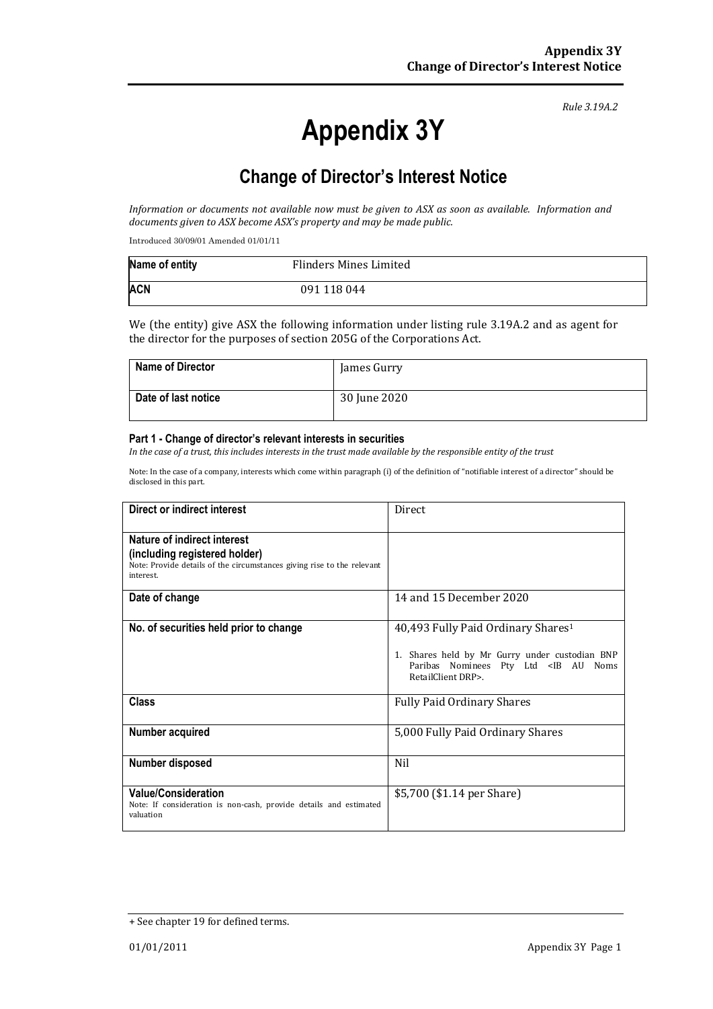# **Appendix 3Y**

*Rule 3.19A.2*

# **Change of Director's Interest Notice**

*Information or documents not available now must be given to ASX as soon as available. Information and documents given to ASX become ASX's property and may be made public.*

Introduced 30/09/01 Amended 01/01/11

| Name of entity | Flinders Mines Limited |  |
|----------------|------------------------|--|
| <b>ACN</b>     | 091 118 044            |  |

We (the entity) give ASX the following information under listing rule 3.19A.2 and as agent for the director for the purposes of section 205G of the Corporations Act.

| <b>Name of Director</b> | James Gurry  |
|-------------------------|--------------|
| Date of last notice     | 30 June 2020 |

#### **Part 1 - Change of director's relevant interests in securities**

*In the case of a trust, this includes interests in the trust made available by the responsible entity of the trust*

Note: In the case of a company, interests which come within paragraph (i) of the definition of "notifiable interest of a director" should be disclosed in this part.

| Direct or indirect interest                                                                                                                         | <b>Direct</b>                                                                                                                                                                |
|-----------------------------------------------------------------------------------------------------------------------------------------------------|------------------------------------------------------------------------------------------------------------------------------------------------------------------------------|
| Nature of indirect interest<br>(including registered holder)<br>Note: Provide details of the circumstances giving rise to the relevant<br>interest. |                                                                                                                                                                              |
| Date of change                                                                                                                                      | 14 and 15 December 2020                                                                                                                                                      |
| No. of securities held prior to change                                                                                                              | 40,493 Fully Paid Ordinary Shares <sup>1</sup><br>1. Shares held by Mr Gurry under custodian BNP<br>Paribas Nominees Pty Ltd <ib au="" noms<br="">RetailClient DRP&gt;.</ib> |
| Class                                                                                                                                               | <b>Fully Paid Ordinary Shares</b>                                                                                                                                            |
| Number acquired                                                                                                                                     | 5,000 Fully Paid Ordinary Shares                                                                                                                                             |
| Number disposed                                                                                                                                     | Nil                                                                                                                                                                          |
| <b>Value/Consideration</b><br>Note: If consideration is non-cash, provide details and estimated<br>valuation                                        | \$5,700 (\$1.14 per Share)                                                                                                                                                   |

<sup>+</sup> See chapter 19 for defined terms.